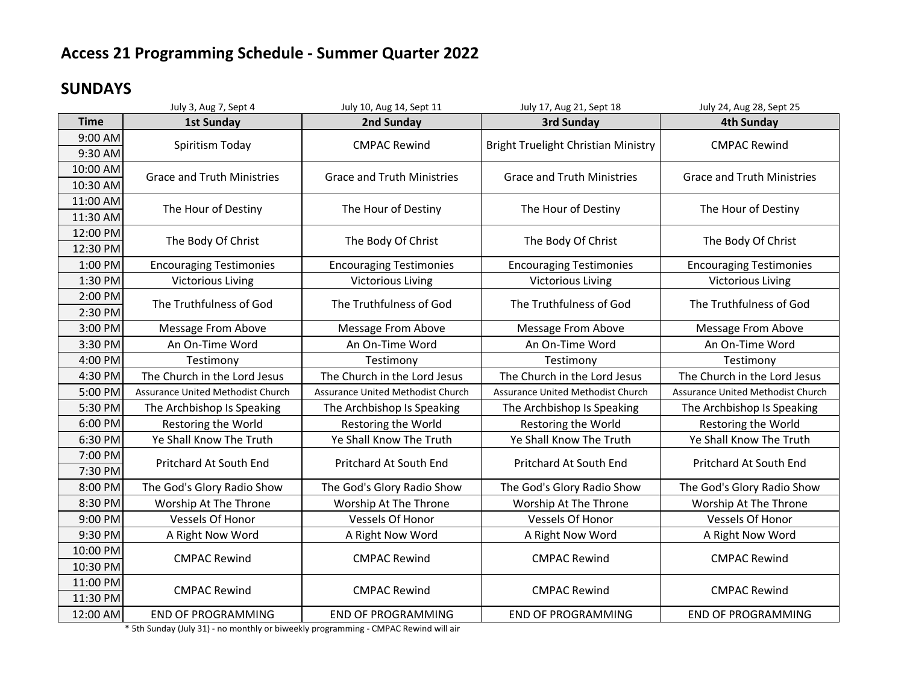### **SUNDAYS**

|             | July 3, Aug 7, Sept 4                    | July 10, Aug 14, Sept 11          | July 17, Aug 21, Sept 18                 | July 24, Aug 28, Sept 25          |
|-------------|------------------------------------------|-----------------------------------|------------------------------------------|-----------------------------------|
| <b>Time</b> | <b>1st Sunday</b>                        | 2nd Sunday                        | 3rd Sunday                               | <b>4th Sunday</b>                 |
| 9:00 AM     | Spiritism Today                          | <b>CMPAC Rewind</b>               | Bright Truelight Christian Ministry      | <b>CMPAC Rewind</b>               |
| 9:30 AM     |                                          |                                   |                                          |                                   |
| 10:00 AM    | <b>Grace and Truth Ministries</b>        | <b>Grace and Truth Ministries</b> | <b>Grace and Truth Ministries</b>        | <b>Grace and Truth Ministries</b> |
| 10:30 AM    |                                          |                                   |                                          |                                   |
| 11:00 AM    | The Hour of Destiny                      | The Hour of Destiny               | The Hour of Destiny                      | The Hour of Destiny               |
| 11:30 AM    |                                          |                                   |                                          |                                   |
| 12:00 PM    | The Body Of Christ                       | The Body Of Christ                | The Body Of Christ                       | The Body Of Christ                |
| 12:30 PM    |                                          |                                   |                                          |                                   |
| 1:00 PM     | <b>Encouraging Testimonies</b>           | <b>Encouraging Testimonies</b>    | <b>Encouraging Testimonies</b>           | <b>Encouraging Testimonies</b>    |
| 1:30 PM     | <b>Victorious Living</b>                 | <b>Victorious Living</b>          | <b>Victorious Living</b>                 | <b>Victorious Living</b>          |
| 2:00 PM     | The Truthfulness of God                  | The Truthfulness of God           | The Truthfulness of God                  | The Truthfulness of God           |
| 2:30 PM     |                                          |                                   |                                          |                                   |
| 3:00 PM     | Message From Above                       | Message From Above                | Message From Above                       | Message From Above                |
| 3:30 PM     | An On-Time Word                          | An On-Time Word                   | An On-Time Word                          | An On-Time Word                   |
| 4:00 PM     | Testimony                                | Testimony                         | Testimony                                | Testimony                         |
| 4:30 PM     | The Church in the Lord Jesus             | The Church in the Lord Jesus      | The Church in the Lord Jesus             | The Church in the Lord Jesus      |
| 5:00 PM     | <b>Assurance United Methodist Church</b> | Assurance United Methodist Church | <b>Assurance United Methodist Church</b> | Assurance United Methodist Church |
| 5:30 PM     | The Archbishop Is Speaking               | The Archbishop Is Speaking        | The Archbishop Is Speaking               | The Archbishop Is Speaking        |
| 6:00 PM     | Restoring the World                      | Restoring the World               | Restoring the World                      | Restoring the World               |
| 6:30 PM     | Ye Shall Know The Truth                  | Ye Shall Know The Truth           | Ye Shall Know The Truth                  | Ye Shall Know The Truth           |
| 7:00 PM     | Pritchard At South End                   | Pritchard At South End            | Pritchard At South End                   | Pritchard At South End            |
| 7:30 PM     |                                          |                                   |                                          |                                   |
| 8:00 PM     | The God's Glory Radio Show               | The God's Glory Radio Show        | The God's Glory Radio Show               | The God's Glory Radio Show        |
| 8:30 PM     | Worship At The Throne                    | Worship At The Throne             | Worship At The Throne                    | Worship At The Throne             |
| 9:00 PM     | Vessels Of Honor                         | <b>Vessels Of Honor</b>           | <b>Vessels Of Honor</b>                  | Vessels Of Honor                  |
| 9:30 PM     | A Right Now Word                         | A Right Now Word                  | A Right Now Word                         | A Right Now Word                  |
| 10:00 PM    | <b>CMPAC Rewind</b>                      | <b>CMPAC Rewind</b>               | <b>CMPAC Rewind</b>                      | <b>CMPAC Rewind</b>               |
| 10:30 PM    |                                          |                                   |                                          |                                   |
| 11:00 PM    | <b>CMPAC Rewind</b>                      | <b>CMPAC Rewind</b>               | <b>CMPAC Rewind</b>                      | <b>CMPAC Rewind</b>               |
| 11:30 PM    |                                          |                                   |                                          |                                   |
| 12:00 AM    | <b>END OF PROGRAMMING</b>                | <b>END OF PROGRAMMING</b>         | <b>END OF PROGRAMMING</b>                | <b>END OF PROGRAMMING</b>         |

\* 5th Sunday (July 31) - no monthly or biweekly programming - CMPAC Rewind will air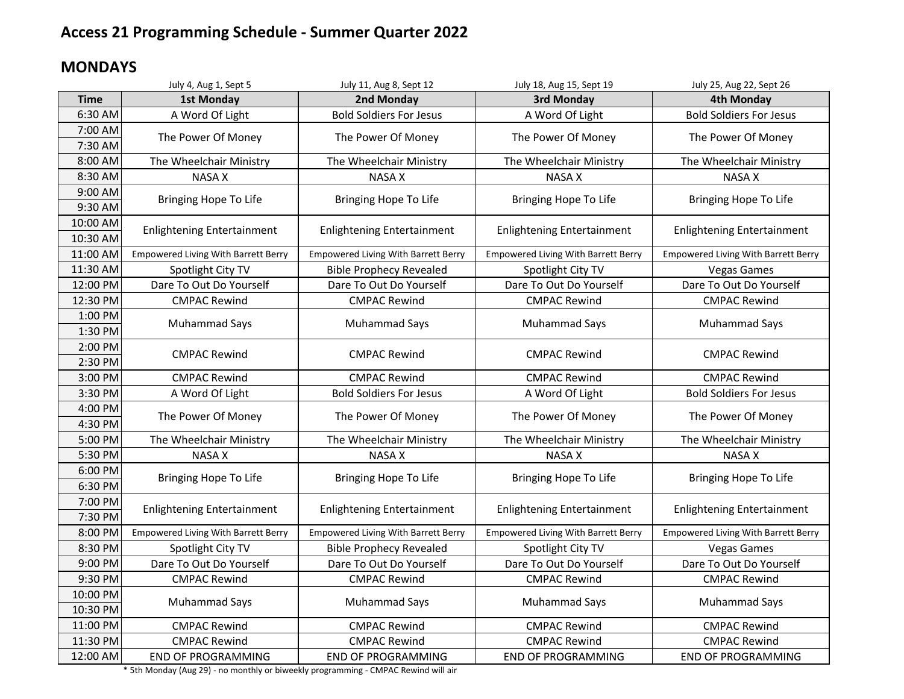### **MONDAYS**

|             | July 4, Aug 1, Sept 5                      | July 11, Aug 8, Sept 12                    | July 18, Aug 15, Sept 19                   | July 25, Aug 22, Sept 26                   |
|-------------|--------------------------------------------|--------------------------------------------|--------------------------------------------|--------------------------------------------|
| <b>Time</b> | <b>1st Monday</b>                          | 2nd Monday                                 | 3rd Monday                                 | <b>4th Monday</b>                          |
| 6:30 AM     | A Word Of Light                            | <b>Bold Soldiers For Jesus</b>             | A Word Of Light                            | <b>Bold Soldiers For Jesus</b>             |
| 7:00 AM     | The Power Of Money                         | The Power Of Money                         | The Power Of Money                         | The Power Of Money                         |
| 7:30 AM     |                                            |                                            |                                            |                                            |
| 8:00 AM     | The Wheelchair Ministry                    | The Wheelchair Ministry                    | The Wheelchair Ministry                    | The Wheelchair Ministry                    |
| 8:30 AM     | <b>NASA X</b>                              | <b>NASA X</b>                              | <b>NASA X</b>                              | <b>NASA X</b>                              |
| 9:00 AM     | Bringing Hope To Life                      | Bringing Hope To Life                      | Bringing Hope To Life                      | Bringing Hope To Life                      |
| 9:30 AM     |                                            |                                            |                                            |                                            |
| 10:00 AM    | <b>Enlightening Entertainment</b>          | <b>Enlightening Entertainment</b>          | <b>Enlightening Entertainment</b>          | <b>Enlightening Entertainment</b>          |
| 10:30 AM    |                                            |                                            |                                            |                                            |
| 11:00 AM    | <b>Empowered Living With Barrett Berry</b> | <b>Empowered Living With Barrett Berry</b> | <b>Empowered Living With Barrett Berry</b> | <b>Empowered Living With Barrett Berry</b> |
| 11:30 AM    | Spotlight City TV                          | <b>Bible Prophecy Revealed</b>             | Spotlight City TV                          | <b>Vegas Games</b>                         |
| 12:00 PM    | Dare To Out Do Yourself                    | Dare To Out Do Yourself                    | Dare To Out Do Yourself                    | Dare To Out Do Yourself                    |
| 12:30 PM    | <b>CMPAC Rewind</b>                        | <b>CMPAC Rewind</b>                        | <b>CMPAC Rewind</b>                        | <b>CMPAC Rewind</b>                        |
| 1:00 PM     | <b>Muhammad Says</b>                       | Muhammad Says                              | <b>Muhammad Says</b>                       | Muhammad Says                              |
| 1:30 PM     |                                            |                                            |                                            |                                            |
| 2:00 PM     | <b>CMPAC Rewind</b>                        | <b>CMPAC Rewind</b>                        | <b>CMPAC Rewind</b>                        | <b>CMPAC Rewind</b>                        |
| 2:30 PM     |                                            |                                            |                                            |                                            |
| 3:00 PM     | <b>CMPAC Rewind</b>                        | <b>CMPAC Rewind</b>                        | <b>CMPAC Rewind</b>                        | <b>CMPAC Rewind</b>                        |
| 3:30 PM     | A Word Of Light                            | <b>Bold Soldiers For Jesus</b>             | A Word Of Light                            | <b>Bold Soldiers For Jesus</b>             |
| 4:00 PM     | The Power Of Money                         | The Power Of Money                         | The Power Of Money                         | The Power Of Money                         |
| 4:30 PM     |                                            |                                            |                                            |                                            |
| 5:00 PM     | The Wheelchair Ministry                    | The Wheelchair Ministry                    | The Wheelchair Ministry                    | The Wheelchair Ministry                    |
| 5:30 PM     | <b>NASA X</b>                              | <b>NASA X</b>                              | <b>NASA X</b>                              | <b>NASA X</b>                              |
| 6:00 PM     | Bringing Hope To Life                      | Bringing Hope To Life                      | Bringing Hope To Life                      | Bringing Hope To Life                      |
| 6:30 PM     |                                            |                                            |                                            |                                            |
| 7:00 PM     | <b>Enlightening Entertainment</b>          | <b>Enlightening Entertainment</b>          | <b>Enlightening Entertainment</b>          | <b>Enlightening Entertainment</b>          |
| 7:30 PM     |                                            |                                            |                                            |                                            |
| 8:00 PM     | <b>Empowered Living With Barrett Berry</b> | <b>Empowered Living With Barrett Berry</b> | <b>Empowered Living With Barrett Berry</b> | <b>Empowered Living With Barrett Berry</b> |
| 8:30 PM     | Spotlight City TV                          | <b>Bible Prophecy Revealed</b>             | Spotlight City TV                          | <b>Vegas Games</b>                         |
| 9:00 PM     | Dare To Out Do Yourself                    | Dare To Out Do Yourself                    | Dare To Out Do Yourself                    | Dare To Out Do Yourself                    |
| 9:30 PM     | <b>CMPAC Rewind</b>                        | <b>CMPAC Rewind</b>                        | <b>CMPAC Rewind</b>                        | <b>CMPAC Rewind</b>                        |
| 10:00 PM    |                                            |                                            |                                            |                                            |
| 10:30 PM    | Muhammad Says                              | <b>Muhammad Says</b>                       | <b>Muhammad Says</b>                       | <b>Muhammad Says</b>                       |
| 11:00 PM    | <b>CMPAC Rewind</b>                        | <b>CMPAC Rewind</b>                        | <b>CMPAC Rewind</b>                        | <b>CMPAC Rewind</b>                        |
| 11:30 PM    | <b>CMPAC Rewind</b>                        | <b>CMPAC Rewind</b>                        | <b>CMPAC Rewind</b>                        | <b>CMPAC Rewind</b>                        |
| 12:00 AM    | <b>END OF PROGRAMMING</b>                  | <b>END OF PROGRAMMING</b>                  | <b>END OF PROGRAMMING</b>                  | <b>END OF PROGRAMMING</b>                  |

\* 5th Monday (Aug 29) - no monthly or biweekly programming - CMPAC Rewind will air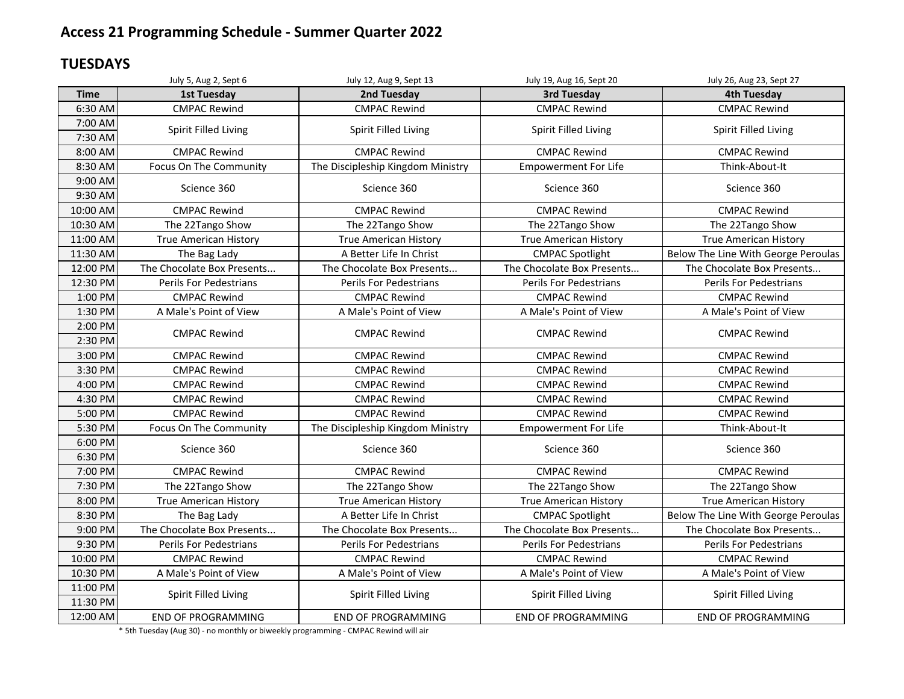### **TUESDAYS**

|                      | July 5, Aug 2, Sept 6        | July 12, Aug 9, Sept 13           | July 19, Aug 16, Sept 20     | July 26, Aug 23, Sept 27            |
|----------------------|------------------------------|-----------------------------------|------------------------------|-------------------------------------|
| <b>Time</b>          | <b>1st Tuesday</b>           | 2nd Tuesday                       | <b>3rd Tuesday</b>           | <b>4th Tuesday</b>                  |
| 6:30 AM              | <b>CMPAC Rewind</b>          | <b>CMPAC Rewind</b>               | <b>CMPAC Rewind</b>          | <b>CMPAC Rewind</b>                 |
| 7:00 AM<br>7:30 AM   | Spirit Filled Living         | Spirit Filled Living              | Spirit Filled Living         | Spirit Filled Living                |
| 8:00 AM              | <b>CMPAC Rewind</b>          | <b>CMPAC Rewind</b>               | <b>CMPAC Rewind</b>          | <b>CMPAC Rewind</b>                 |
| 8:30 AM              | Focus On The Community       | The Discipleship Kingdom Ministry | <b>Empowerment For Life</b>  | Think-About-It                      |
| 9:00 AM<br>9:30 AM   | Science 360                  | Science 360                       | Science 360                  | Science 360                         |
| 10:00 AM             | <b>CMPAC Rewind</b>          | <b>CMPAC Rewind</b>               | <b>CMPAC Rewind</b>          | <b>CMPAC Rewind</b>                 |
| 10:30 AM             | The 22Tango Show             | The 22Tango Show                  | The 22Tango Show             | The 22Tango Show                    |
| 11:00 AM             | <b>True American History</b> | <b>True American History</b>      | <b>True American History</b> | <b>True American History</b>        |
| 11:30 AM             | The Bag Lady                 | A Better Life In Christ           | <b>CMPAC Spotlight</b>       | Below The Line With George Peroulas |
| 12:00 PM             | The Chocolate Box Presents   | The Chocolate Box Presents        | The Chocolate Box Presents   | The Chocolate Box Presents          |
| 12:30 PM             | Perils For Pedestrians       | Perils For Pedestrians            | Perils For Pedestrians       | Perils For Pedestrians              |
| 1:00 PM              | <b>CMPAC Rewind</b>          | <b>CMPAC Rewind</b>               | <b>CMPAC Rewind</b>          | <b>CMPAC Rewind</b>                 |
| 1:30 PM              | A Male's Point of View       | A Male's Point of View            | A Male's Point of View       | A Male's Point of View              |
| 2:00 PM<br>2:30 PM   | <b>CMPAC Rewind</b>          | <b>CMPAC Rewind</b>               | <b>CMPAC Rewind</b>          | <b>CMPAC Rewind</b>                 |
| 3:00 PM              | <b>CMPAC Rewind</b>          | <b>CMPAC Rewind</b>               | <b>CMPAC Rewind</b>          | <b>CMPAC Rewind</b>                 |
| 3:30 PM              | <b>CMPAC Rewind</b>          | <b>CMPAC Rewind</b>               | <b>CMPAC Rewind</b>          | <b>CMPAC Rewind</b>                 |
| 4:00 PM              | <b>CMPAC Rewind</b>          | <b>CMPAC Rewind</b>               | <b>CMPAC Rewind</b>          | <b>CMPAC Rewind</b>                 |
| 4:30 PM              | <b>CMPAC Rewind</b>          | <b>CMPAC Rewind</b>               | <b>CMPAC Rewind</b>          | <b>CMPAC Rewind</b>                 |
| 5:00 PM              | <b>CMPAC Rewind</b>          | <b>CMPAC Rewind</b>               | <b>CMPAC Rewind</b>          | <b>CMPAC Rewind</b>                 |
| 5:30 PM              | Focus On The Community       | The Discipleship Kingdom Ministry | <b>Empowerment For Life</b>  | Think-About-It                      |
| 6:00 PM<br>6:30 PM   | Science 360                  | Science 360                       | Science 360                  | Science 360                         |
| 7:00 PM              | <b>CMPAC Rewind</b>          | <b>CMPAC Rewind</b>               | <b>CMPAC Rewind</b>          | <b>CMPAC Rewind</b>                 |
| 7:30 PM              | The 22Tango Show             | The 22Tango Show                  | The 22Tango Show             | The 22Tango Show                    |
| 8:00 PM              | <b>True American History</b> | <b>True American History</b>      | <b>True American History</b> | <b>True American History</b>        |
| 8:30 PM              | The Bag Lady                 | A Better Life In Christ           | <b>CMPAC Spotlight</b>       | Below The Line With George Peroulas |
| 9:00 PM              | The Chocolate Box Presents   | The Chocolate Box Presents        | The Chocolate Box Presents   | The Chocolate Box Presents          |
| 9:30 PM              | Perils For Pedestrians       | Perils For Pedestrians            | Perils For Pedestrians       | Perils For Pedestrians              |
| 10:00 PM             | <b>CMPAC Rewind</b>          | <b>CMPAC Rewind</b>               | <b>CMPAC Rewind</b>          | <b>CMPAC Rewind</b>                 |
| 10:30 PM             | A Male's Point of View       | A Male's Point of View            | A Male's Point of View       | A Male's Point of View              |
| 11:00 PM<br>11:30 PM | Spirit Filled Living         | Spirit Filled Living              | Spirit Filled Living         | Spirit Filled Living                |
| 12:00 AM             | <b>END OF PROGRAMMING</b>    | <b>END OF PROGRAMMING</b>         | <b>END OF PROGRAMMING</b>    | <b>END OF PROGRAMMING</b>           |

\* 5th Tuesday (Aug 30) - no monthly or biweekly programming - CMPAC Rewind will air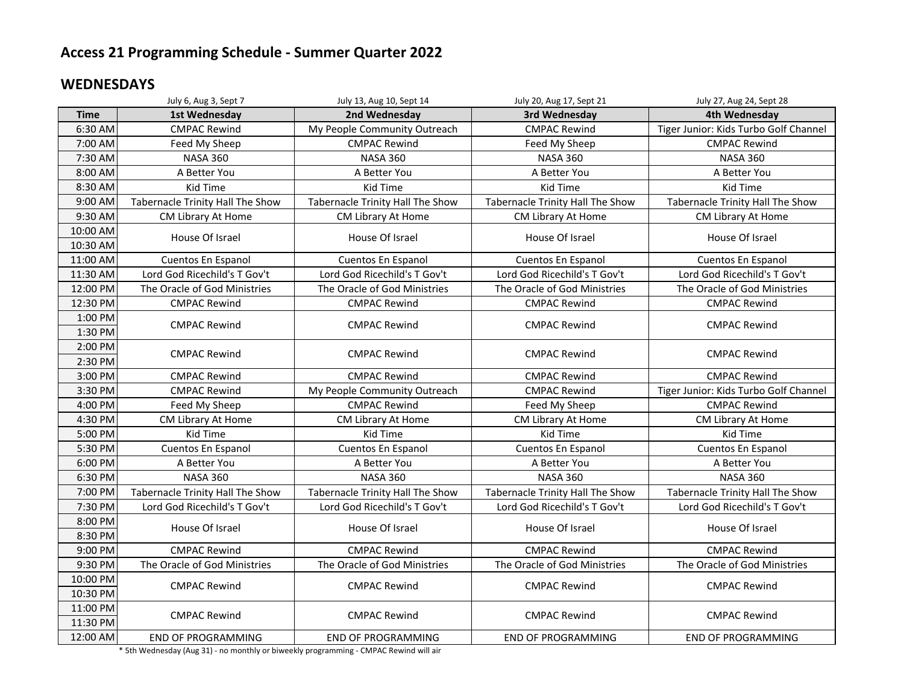#### **WEDNESDAYS**

|             | July 6, Aug 3, Sept 7            | July 13, Aug 10, Sept 14         | July 20, Aug 17, Sept 21         | July 27, Aug 24, Sept 28              |
|-------------|----------------------------------|----------------------------------|----------------------------------|---------------------------------------|
| <b>Time</b> | 1st Wednesday                    | 2nd Wednesday                    | 3rd Wednesday                    | 4th Wednesday                         |
| 6:30 AM     | <b>CMPAC Rewind</b>              | My People Community Outreach     | <b>CMPAC Rewind</b>              | Tiger Junior: Kids Turbo Golf Channel |
| 7:00 AM     | Feed My Sheep                    | <b>CMPAC Rewind</b>              | Feed My Sheep                    | <b>CMPAC Rewind</b>                   |
| 7:30 AM     | <b>NASA 360</b>                  | <b>NASA 360</b>                  | <b>NASA 360</b>                  | <b>NASA 360</b>                       |
| 8:00 AM     | A Better You                     | A Better You                     | A Better You                     | A Better You                          |
| 8:30 AM     | Kid Time                         | Kid Time                         | Kid Time                         | <b>Kid Time</b>                       |
| 9:00 AM     | Tabernacle Trinity Hall The Show | Tabernacle Trinity Hall The Show | Tabernacle Trinity Hall The Show | Tabernacle Trinity Hall The Show      |
| 9:30 AM     | CM Library At Home               | CM Library At Home               | CM Library At Home               | CM Library At Home                    |
| 10:00 AM    | House Of Israel                  | House Of Israel                  | House Of Israel                  | House Of Israel                       |
| 10:30 AM    |                                  |                                  |                                  |                                       |
| 11:00 AM    | Cuentos En Espanol               | Cuentos En Espanol               | Cuentos En Espanol               | Cuentos En Espanol                    |
| 11:30 AM    | Lord God Ricechild's T Gov't     | Lord God Ricechild's T Gov't     | Lord God Ricechild's T Gov't     | Lord God Ricechild's T Gov't          |
| 12:00 PM    | The Oracle of God Ministries     | The Oracle of God Ministries     | The Oracle of God Ministries     | The Oracle of God Ministries          |
| 12:30 PM    | <b>CMPAC Rewind</b>              | <b>CMPAC Rewind</b>              | <b>CMPAC Rewind</b>              | <b>CMPAC Rewind</b>                   |
| 1:00 PM     | <b>CMPAC Rewind</b>              | <b>CMPAC Rewind</b>              | <b>CMPAC Rewind</b>              | <b>CMPAC Rewind</b>                   |
| 1:30 PM     |                                  |                                  |                                  |                                       |
| 2:00 PM     | <b>CMPAC Rewind</b>              | <b>CMPAC Rewind</b>              | <b>CMPAC Rewind</b>              | <b>CMPAC Rewind</b>                   |
| 2:30 PM     |                                  |                                  |                                  |                                       |
| 3:00 PM     | <b>CMPAC Rewind</b>              | <b>CMPAC Rewind</b>              | <b>CMPAC Rewind</b>              | <b>CMPAC Rewind</b>                   |
| 3:30 PM     | <b>CMPAC Rewind</b>              | My People Community Outreach     | <b>CMPAC Rewind</b>              | Tiger Junior: Kids Turbo Golf Channel |
| 4:00 PM     | Feed My Sheep                    | <b>CMPAC Rewind</b>              | Feed My Sheep                    | <b>CMPAC Rewind</b>                   |
| 4:30 PM     | CM Library At Home               | CM Library At Home               | CM Library At Home               | CM Library At Home                    |
| 5:00 PM     | Kid Time                         | Kid Time                         | Kid Time                         | Kid Time                              |
| 5:30 PM     | Cuentos En Espanol               | Cuentos En Espanol               | Cuentos En Espanol               | Cuentos En Espanol                    |
| 6:00 PM     | A Better You                     | A Better You                     | A Better You                     | A Better You                          |
| 6:30 PM     | <b>NASA 360</b>                  | <b>NASA 360</b>                  | <b>NASA 360</b>                  | <b>NASA 360</b>                       |
| 7:00 PM     | Tabernacle Trinity Hall The Show | Tabernacle Trinity Hall The Show | Tabernacle Trinity Hall The Show | Tabernacle Trinity Hall The Show      |
| 7:30 PM     | Lord God Ricechild's T Gov't     | Lord God Ricechild's T Gov't     | Lord God Ricechild's T Gov't     | Lord God Ricechild's T Gov't          |
| 8:00 PM     | House Of Israel                  | House Of Israel                  | House Of Israel                  | House Of Israel                       |
| 8:30 PM     |                                  |                                  |                                  |                                       |
| 9:00 PM     | <b>CMPAC Rewind</b>              | <b>CMPAC Rewind</b>              | <b>CMPAC Rewind</b>              | <b>CMPAC Rewind</b>                   |
| 9:30 PM     | The Oracle of God Ministries     | The Oracle of God Ministries     | The Oracle of God Ministries     | The Oracle of God Ministries          |
| 10:00 PM    | <b>CMPAC Rewind</b>              | <b>CMPAC Rewind</b>              | <b>CMPAC Rewind</b>              | <b>CMPAC Rewind</b>                   |
| 10:30 PM    |                                  |                                  |                                  |                                       |
| 11:00 PM    | <b>CMPAC Rewind</b>              | <b>CMPAC Rewind</b>              | <b>CMPAC Rewind</b>              | <b>CMPAC Rewind</b>                   |
| 11:30 PM    |                                  |                                  |                                  |                                       |
| 12:00 AM    | <b>END OF PROGRAMMING</b>        | <b>END OF PROGRAMMING</b>        | <b>END OF PROGRAMMING</b>        | <b>END OF PROGRAMMING</b>             |

\* 5th Wednesday (Aug 31) - no monthly or biweekly programming - CMPAC Rewind will air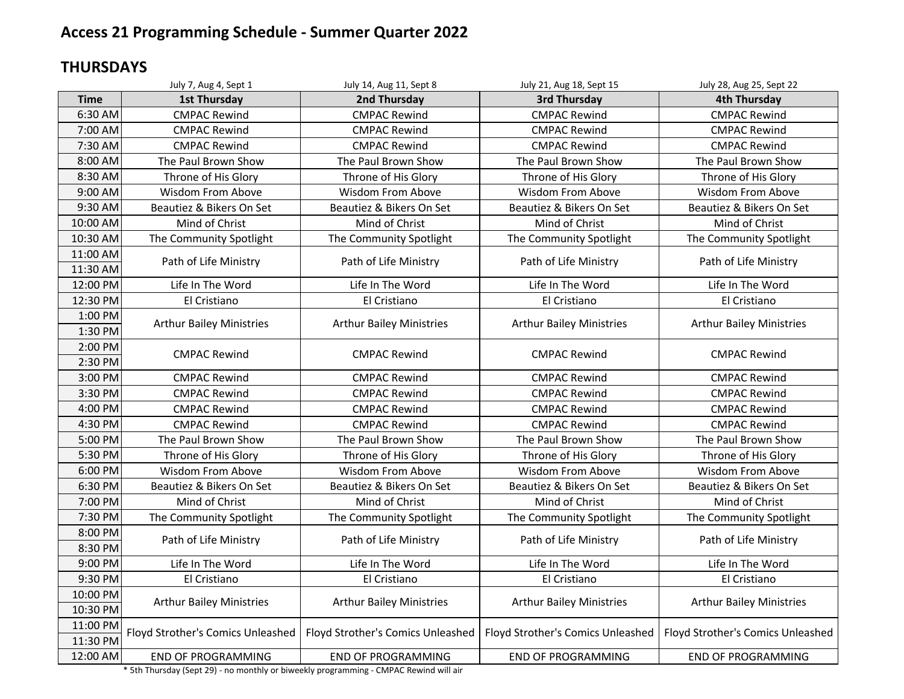### **THURSDAYS**

|                      | July 7, Aug 4, Sept 1             | July 14, Aug 11, Sept 8           | July 21, Aug 18, Sept 15          | July 28, Aug 25, Sept 22          |
|----------------------|-----------------------------------|-----------------------------------|-----------------------------------|-----------------------------------|
| <b>Time</b>          | <b>1st Thursday</b>               | 2nd Thursday                      | 3rd Thursday                      | <b>4th Thursday</b>               |
| 6:30 AM              | <b>CMPAC Rewind</b>               | <b>CMPAC Rewind</b>               | <b>CMPAC Rewind</b>               | <b>CMPAC Rewind</b>               |
| 7:00 AM              | <b>CMPAC Rewind</b>               | <b>CMPAC Rewind</b>               | <b>CMPAC Rewind</b>               | <b>CMPAC Rewind</b>               |
| 7:30 AM              | <b>CMPAC Rewind</b>               | <b>CMPAC Rewind</b>               | <b>CMPAC Rewind</b>               | <b>CMPAC Rewind</b>               |
| 8:00 AM              | The Paul Brown Show               | The Paul Brown Show               | The Paul Brown Show               | The Paul Brown Show               |
| 8:30 AM              | Throne of His Glory               | Throne of His Glory               | Throne of His Glory               | Throne of His Glory               |
| 9:00 AM              | Wisdom From Above                 | <b>Wisdom From Above</b>          | <b>Wisdom From Above</b>          | Wisdom From Above                 |
| 9:30 AM              | Beautiez & Bikers On Set          | Beautiez & Bikers On Set          | Beautiez & Bikers On Set          | Beautiez & Bikers On Set          |
| 10:00 AM             | Mind of Christ                    | Mind of Christ                    | Mind of Christ                    | Mind of Christ                    |
| 10:30 AM             | The Community Spotlight           | The Community Spotlight           | The Community Spotlight           | The Community Spotlight           |
| 11:00 AM<br>11:30 AM | Path of Life Ministry             | Path of Life Ministry             | Path of Life Ministry             | Path of Life Ministry             |
| 12:00 PM             | Life In The Word                  | Life In The Word                  | Life In The Word                  | Life In The Word                  |
| 12:30 PM             | El Cristiano                      | El Cristiano                      | El Cristiano                      | El Cristiano                      |
| 1:00 PM<br>1:30 PM   | <b>Arthur Bailey Ministries</b>   | <b>Arthur Bailey Ministries</b>   | <b>Arthur Bailey Ministries</b>   | <b>Arthur Bailey Ministries</b>   |
| 2:00 PM<br>2:30 PM   | <b>CMPAC Rewind</b>               | <b>CMPAC Rewind</b>               | <b>CMPAC Rewind</b>               | <b>CMPAC Rewind</b>               |
| 3:00 PM              | <b>CMPAC Rewind</b>               | <b>CMPAC Rewind</b>               | <b>CMPAC Rewind</b>               | <b>CMPAC Rewind</b>               |
| 3:30 PM              | <b>CMPAC Rewind</b>               | <b>CMPAC Rewind</b>               | <b>CMPAC Rewind</b>               | <b>CMPAC Rewind</b>               |
| 4:00 PM              | <b>CMPAC Rewind</b>               | <b>CMPAC Rewind</b>               | <b>CMPAC Rewind</b>               | <b>CMPAC Rewind</b>               |
| 4:30 PM              | <b>CMPAC Rewind</b>               | <b>CMPAC Rewind</b>               | <b>CMPAC Rewind</b>               | <b>CMPAC Rewind</b>               |
| 5:00 PM              | The Paul Brown Show               | The Paul Brown Show               | The Paul Brown Show               | The Paul Brown Show               |
| 5:30 PM              | Throne of His Glory               | Throne of His Glory               | Throne of His Glory               | Throne of His Glory               |
| 6:00 PM              | <b>Wisdom From Above</b>          | <b>Wisdom From Above</b>          | <b>Wisdom From Above</b>          | <b>Wisdom From Above</b>          |
| 6:30 PM              | Beautiez & Bikers On Set          | Beautiez & Bikers On Set          | Beautiez & Bikers On Set          | Beautiez & Bikers On Set          |
| 7:00 PM              | Mind of Christ                    | Mind of Christ                    | Mind of Christ                    | Mind of Christ                    |
| 7:30 PM              | The Community Spotlight           | The Community Spotlight           | The Community Spotlight           | The Community Spotlight           |
| 8:00 PM<br>8:30 PM   | Path of Life Ministry             | Path of Life Ministry             | Path of Life Ministry             | Path of Life Ministry             |
| 9:00 PM              | Life In The Word                  | Life In The Word                  | Life In The Word                  | Life In The Word                  |
| 9:30 PM              | El Cristiano                      | El Cristiano                      | El Cristiano                      | El Cristiano                      |
| 10:00 PM<br>10:30 PM | <b>Arthur Bailey Ministries</b>   | <b>Arthur Bailey Ministries</b>   | <b>Arthur Bailey Ministries</b>   | <b>Arthur Bailey Ministries</b>   |
| 11:00 PM<br>11:30 PM | Floyd Strother's Comics Unleashed | Floyd Strother's Comics Unleashed | Floyd Strother's Comics Unleashed | Floyd Strother's Comics Unleashed |
| 12:00 AM             | <b>END OF PROGRAMMING</b>         | <b>END OF PROGRAMMING</b>         | <b>END OF PROGRAMMING</b>         | <b>END OF PROGRAMMING</b>         |

\* 5th Thursday (Sept 29) - no monthly or biweekly programming - CMPAC Rewind will air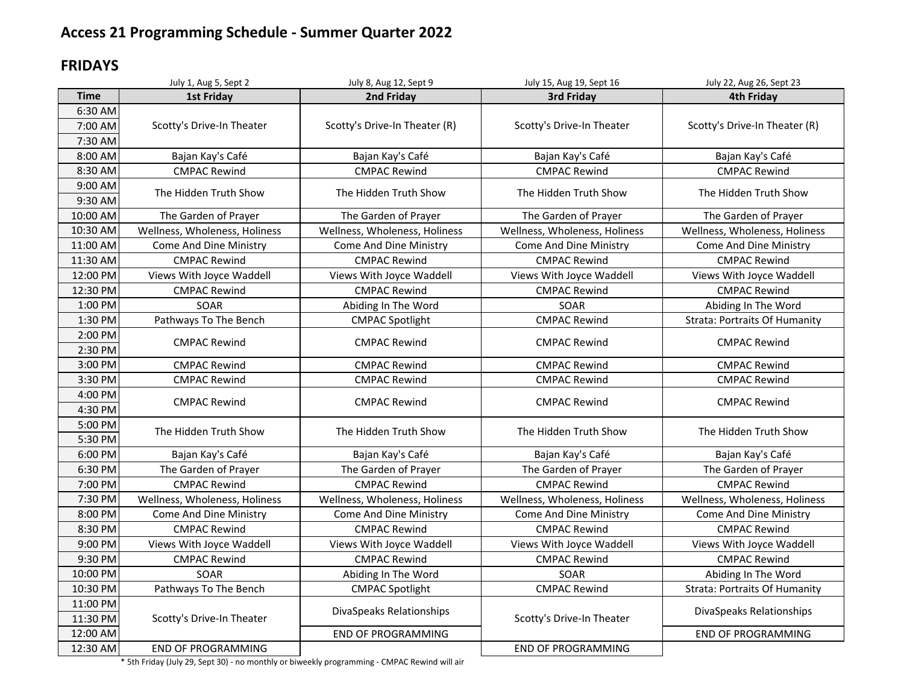#### **FRIDAYS**

|             | July 1, Aug 5, Sept 2         | July 8, Aug 12, Sept 9        | July 15, Aug 19, Sept 16      | July 22, Aug 26, Sept 23             |
|-------------|-------------------------------|-------------------------------|-------------------------------|--------------------------------------|
| <b>Time</b> | <b>1st Friday</b>             | 2nd Friday                    | 3rd Friday                    | <b>4th Friday</b>                    |
| 6:30 AM     |                               |                               |                               |                                      |
| 7:00 AM     | Scotty's Drive-In Theater     | Scotty's Drive-In Theater (R) | Scotty's Drive-In Theater     | Scotty's Drive-In Theater (R)        |
| 7:30 AM     |                               |                               |                               |                                      |
| 8:00 AM     | Bajan Kay's Café              | Bajan Kay's Café              | Bajan Kay's Café              | Bajan Kay's Café                     |
| 8:30 AM     | <b>CMPAC Rewind</b>           | <b>CMPAC Rewind</b>           | <b>CMPAC Rewind</b>           | <b>CMPAC Rewind</b>                  |
| 9:00 AM     |                               |                               |                               |                                      |
| 9:30 AM     | The Hidden Truth Show         | The Hidden Truth Show         | The Hidden Truth Show         | The Hidden Truth Show                |
| 10:00 AM    | The Garden of Prayer          | The Garden of Prayer          | The Garden of Prayer          | The Garden of Prayer                 |
| 10:30 AM    | Wellness, Wholeness, Holiness | Wellness, Wholeness, Holiness | Wellness, Wholeness, Holiness | Wellness, Wholeness, Holiness        |
| 11:00 AM    | Come And Dine Ministry        | Come And Dine Ministry        | Come And Dine Ministry        | Come And Dine Ministry               |
| 11:30 AM    | <b>CMPAC Rewind</b>           | <b>CMPAC Rewind</b>           | <b>CMPAC Rewind</b>           | <b>CMPAC Rewind</b>                  |
| 12:00 PM    | Views With Joyce Waddell      | Views With Joyce Waddell      | Views With Joyce Waddell      | Views With Joyce Waddell             |
| 12:30 PM    | <b>CMPAC Rewind</b>           | <b>CMPAC Rewind</b>           | <b>CMPAC Rewind</b>           | <b>CMPAC Rewind</b>                  |
| 1:00 PM     | SOAR                          | Abiding In The Word           | SOAR                          | Abiding In The Word                  |
| 1:30 PM     | Pathways To The Bench         | <b>CMPAC Spotlight</b>        | <b>CMPAC Rewind</b>           | <b>Strata: Portraits Of Humanity</b> |
| 2:00 PM     | <b>CMPAC Rewind</b>           | <b>CMPAC Rewind</b>           | <b>CMPAC Rewind</b>           | <b>CMPAC Rewind</b>                  |
| 2:30 PM     |                               |                               |                               |                                      |
| 3:00 PM     | <b>CMPAC Rewind</b>           | <b>CMPAC Rewind</b>           | <b>CMPAC Rewind</b>           | <b>CMPAC Rewind</b>                  |
| 3:30 PM     | <b>CMPAC Rewind</b>           | <b>CMPAC Rewind</b>           | <b>CMPAC Rewind</b>           | <b>CMPAC Rewind</b>                  |
| 4:00 PM     | <b>CMPAC Rewind</b>           | <b>CMPAC Rewind</b>           | <b>CMPAC Rewind</b>           | <b>CMPAC Rewind</b>                  |
| 4:30 PM     |                               |                               |                               |                                      |
| 5:00 PM     | The Hidden Truth Show         | The Hidden Truth Show         | The Hidden Truth Show         | The Hidden Truth Show                |
| 5:30 PM     |                               |                               |                               |                                      |
| 6:00 PM     | Bajan Kay's Café              | Bajan Kay's Café              | Bajan Kay's Café              | Bajan Kay's Café                     |
| 6:30 PM     | The Garden of Prayer          | The Garden of Prayer          | The Garden of Prayer          | The Garden of Prayer                 |
| 7:00 PM     | <b>CMPAC Rewind</b>           | <b>CMPAC Rewind</b>           | <b>CMPAC Rewind</b>           | <b>CMPAC Rewind</b>                  |
| 7:30 PM     | Wellness, Wholeness, Holiness | Wellness, Wholeness, Holiness | Wellness, Wholeness, Holiness | Wellness, Wholeness, Holiness        |
| 8:00 PM     | Come And Dine Ministry        | Come And Dine Ministry        | Come And Dine Ministry        | Come And Dine Ministry               |
| 8:30 PM     | <b>CMPAC Rewind</b>           | <b>CMPAC Rewind</b>           | <b>CMPAC Rewind</b>           | <b>CMPAC Rewind</b>                  |
| 9:00 PM     | Views With Joyce Waddell      | Views With Joyce Waddell      | Views With Joyce Waddell      | Views With Joyce Waddell             |
| 9:30 PM     | <b>CMPAC Rewind</b>           | <b>CMPAC Rewind</b>           | <b>CMPAC Rewind</b>           | <b>CMPAC Rewind</b>                  |
| 10:00 PM    | SOAR                          | Abiding In The Word           | SOAR                          | Abiding In The Word                  |
| 10:30 PM    | Pathways To The Bench         | <b>CMPAC Spotlight</b>        | <b>CMPAC Rewind</b>           | <b>Strata: Portraits Of Humanity</b> |
| 11:00 PM    |                               | DivaSpeaks Relationships      |                               | DivaSpeaks Relationships             |
| 11:30 PM    | Scotty's Drive-In Theater     |                               | Scotty's Drive-In Theater     |                                      |
| 12:00 AM    |                               | <b>END OF PROGRAMMING</b>     |                               | <b>END OF PROGRAMMING</b>            |
| 12:30 AM    | <b>END OF PROGRAMMING</b>     |                               | <b>END OF PROGRAMMING</b>     |                                      |

\* 5th Friday (July 29, Sept 30) - no monthly or biweekly programming - CMPAC Rewind will air